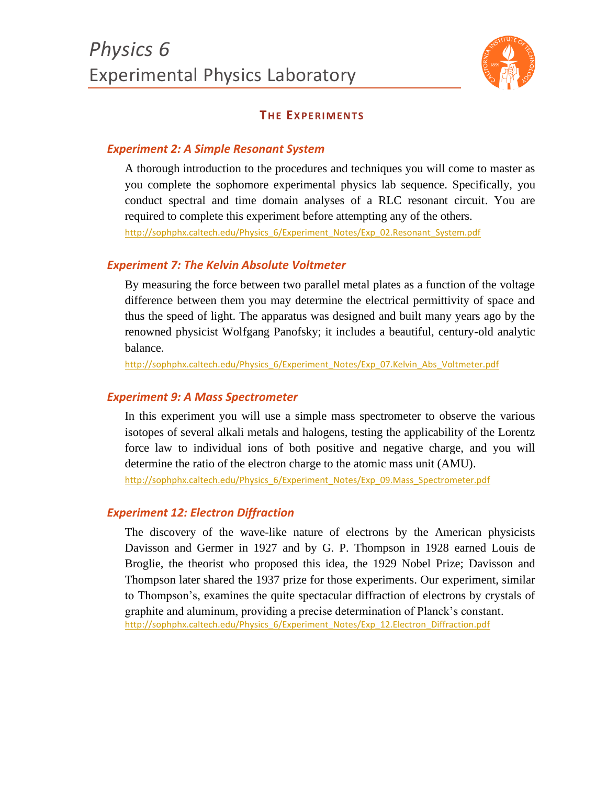

# **THE EXPERIMENTS**

## *Experiment 2: A Simple Resonant System*

A thorough introduction to the procedures and techniques you will come to master as you complete the sophomore experimental physics lab sequence. Specifically, you conduct spectral and time domain analyses of a RLC resonant circuit. You are required to complete this experiment before attempting any of the others. [http://sophphx.caltech.edu/Physics\\_6/Experiment\\_Notes/Exp\\_02.Resonant\\_System.pdf](http://sophphx.caltech.edu/Physics_6/Experiment_Notes/Exp_02.Resonant_System.pdf)

#### *Experiment 7: The Kelvin Absolute Voltmeter*

By measuring the force between two parallel metal plates as a function of the voltage difference between them you may determine the electrical permittivity of space and thus the speed of light. The apparatus was designed and built many years ago by the renowned physicist Wolfgang Panofsky; it includes a beautiful, century-old analytic balance.

[http://sophphx.caltech.edu/Physics\\_6/Experiment\\_Notes/Exp\\_07.Kelvin\\_Abs\\_Voltmeter.pdf](http://sophphx.caltech.edu/Physics_6/Experiment_Notes/Exp_07.Kelvin_Abs_Voltmeter.pdf)

#### *Experiment 9: A Mass Spectrometer*

In this experiment you will use a simple mass spectrometer to observe the various isotopes of several alkali metals and halogens, testing the applicability of the Lorentz force law to individual ions of both positive and negative charge, and you will determine the ratio of the electron charge to the atomic mass unit (AMU).

[http://sophphx.caltech.edu/Physics\\_6/Experiment\\_Notes/Exp\\_09.Mass\\_Spectrometer.pdf](http://sophphx.caltech.edu/Physics_6/Experiment_Notes/Exp_09.Mass_Spectrometer.pdf)

#### *Experiment 12: Electron Diffraction*

The discovery of the wave-like nature of electrons by the American physicists Davisson and Germer in 1927 and by G. P. Thompson in 1928 earned Louis de Broglie, the theorist who proposed this idea, the 1929 Nobel Prize; Davisson and Thompson later shared the 1937 prize for those experiments. Our experiment, similar to Thompson's, examines the quite spectacular diffraction of electrons by crystals of graphite and aluminum, providing a precise determination of Planck's constant. [http://sophphx.caltech.edu/Physics\\_6/Experiment\\_Notes/Exp\\_12.Electron\\_Diffraction.pdf](http://sophphx.caltech.edu/Physics_6/Experiment_Notes/Exp_12.Electron_Diffraction.pdf)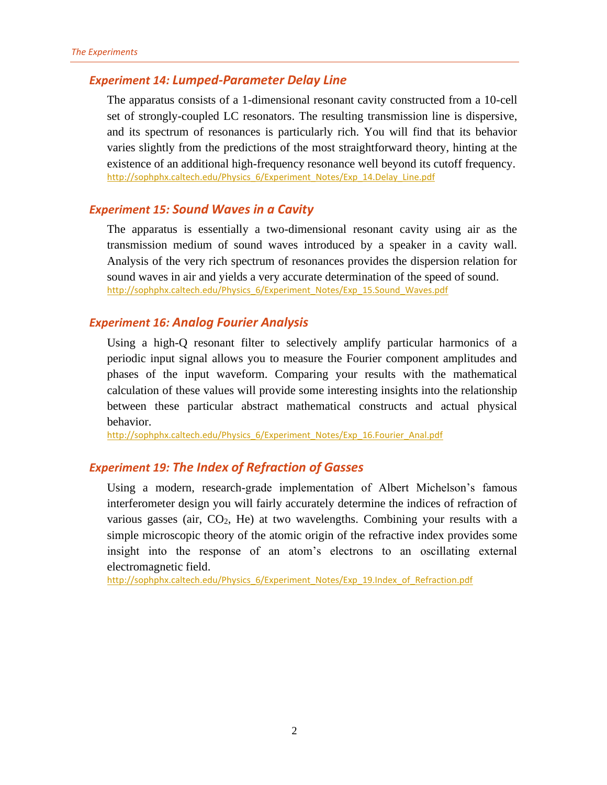# *Experiment 14: Lumped-Parameter Delay Line*

The apparatus consists of a 1-dimensional resonant cavity constructed from a 10-cell set of strongly-coupled LC resonators. The resulting transmission line is dispersive, and its spectrum of resonances is particularly rich. You will find that its behavior varies slightly from the predictions of the most straightforward theory, hinting at the existence of an additional high-frequency resonance well beyond its cutoff frequency. [http://sophphx.caltech.edu/Physics\\_6/Experiment\\_Notes/Exp\\_14.Delay\\_Line.pdf](http://sophphx.caltech.edu/Physics_6/Experiment_Notes/Exp_14.Delay_Line.pdf)

#### *Experiment 15: Sound Waves in a Cavity*

The apparatus is essentially a two-dimensional resonant cavity using air as the transmission medium of sound waves introduced by a speaker in a cavity wall. Analysis of the very rich spectrum of resonances provides the dispersion relation for sound waves in air and yields a very accurate determination of the speed of sound. [http://sophphx.caltech.edu/Physics\\_6/Experiment\\_Notes/Exp\\_15.Sound\\_Waves.pdf](http://sophphx.caltech.edu/Physics_6/Experiment_Notes/Exp_15.Sound_Waves.pdf)

## *Experiment 16: Analog Fourier Analysis*

Using a high-Q resonant filter to selectively amplify particular harmonics of a periodic input signal allows you to measure the Fourier component amplitudes and phases of the input waveform. Comparing your results with the mathematical calculation of these values will provide some interesting insights into the relationship between these particular abstract mathematical constructs and actual physical behavior.

[http://sophphx.caltech.edu/Physics\\_6/Experiment\\_Notes/Exp\\_16.Fourier\\_Anal.pdf](http://sophphx.caltech.edu/Physics_6/Experiment_Notes/Exp_16.Fourier_Anal.pdf)

# *Experiment 19: The Index of Refraction of Gasses*

Using a modern, research-grade implementation of Albert Michelson's famous interferometer design you will fairly accurately determine the indices of refraction of various gasses (air,  $CO<sub>2</sub>$ , He) at two wavelengths. Combining your results with a simple microscopic theory of the atomic origin of the refractive index provides some insight into the response of an atom's electrons to an oscillating external electromagnetic field.

[http://sophphx.caltech.edu/Physics\\_6/Experiment\\_Notes/Exp\\_19.Index\\_of\\_Refraction.pdf](http://sophphx.caltech.edu/Physics_6/Experiment_Notes/Exp_19.Index_of_Refraction.pdf)